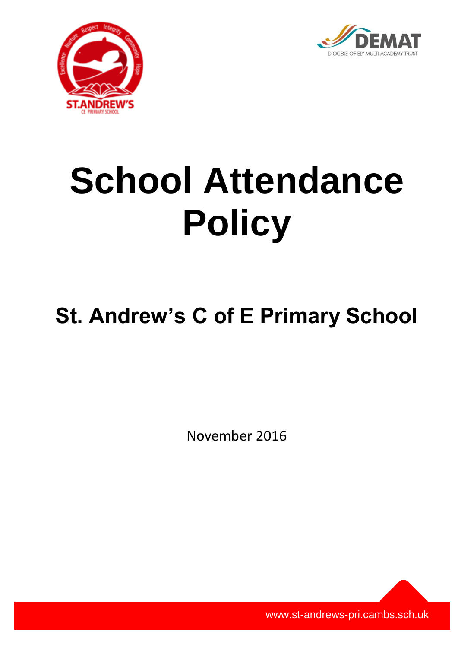



# **School Attendance Policy**

# **St. Andrew's C of E Primary School**

November 2016

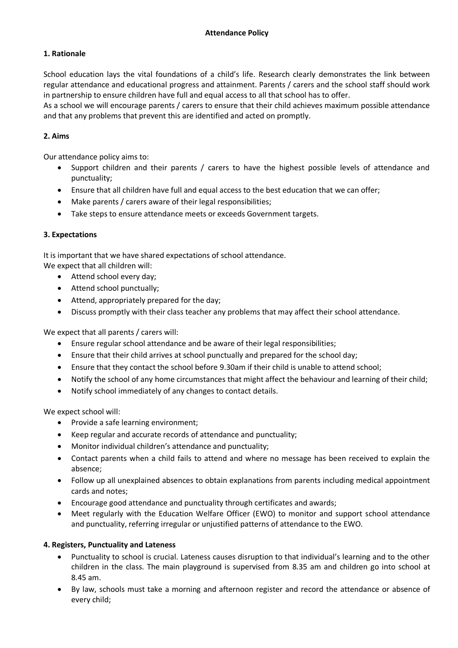# **1. Rationale**

School education lays the vital foundations of a child's life. Research clearly demonstrates the link between regular attendance and educational progress and attainment. Parents / carers and the school staff should work in partnership to ensure children have full and equal access to all that school has to offer.

As a school we will encourage parents / carers to ensure that their child achieves maximum possible attendance and that any problems that prevent this are identified and acted on promptly.

# **2. Aims**

Our attendance policy aims to:

- Support children and their parents / carers to have the highest possible levels of attendance and punctuality;
- Ensure that all children have full and equal access to the best education that we can offer;
- Make parents / carers aware of their legal responsibilities;
- Take steps to ensure attendance meets or exceeds Government targets.

#### **3. Expectations**

It is important that we have shared expectations of school attendance.

- We expect that all children will: • Attend school every day;
	- Attend school punctually;
	- Attend, appropriately prepared for the day;
	- Discuss promptly with their class teacher any problems that may affect their school attendance.

We expect that all parents / carers will:

- Ensure regular school attendance and be aware of their legal responsibilities;
- Ensure that their child arrives at school punctually and prepared for the school day;
- Ensure that they contact the school before 9.30am if their child is unable to attend school;
- Notify the school of any home circumstances that might affect the behaviour and learning of their child;
- Notify school immediately of any changes to contact details.

We expect school will:

- Provide a safe learning environment;
- Keep regular and accurate records of attendance and punctuality;
- Monitor individual children's attendance and punctuality;
- Contact parents when a child fails to attend and where no message has been received to explain the absence;
- Follow up all unexplained absences to obtain explanations from parents including medical appointment cards and notes;
- Encourage good attendance and punctuality through certificates and awards;
- Meet regularly with the Education Welfare Officer (EWO) to monitor and support school attendance and punctuality, referring irregular or unjustified patterns of attendance to the EWO.

#### **4. Registers, Punctuality and Lateness**

- Punctuality to school is crucial. Lateness causes disruption to that individual's learning and to the other children in the class. The main playground is supervised from 8.35 am and children go into school at 8.45 am.
- By law, schools must take a morning and afternoon register and record the attendance or absence of every child;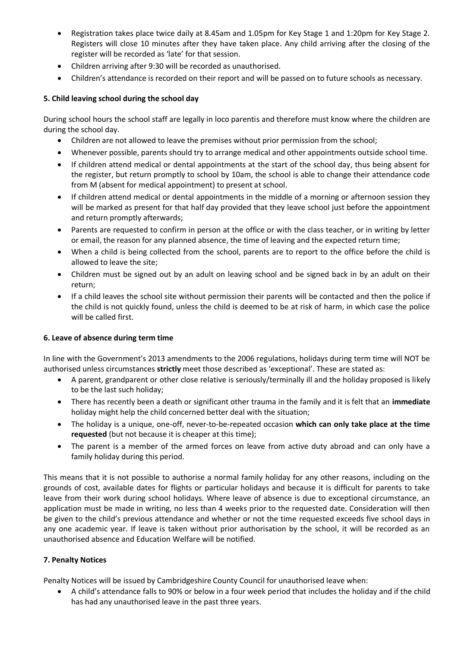- Registration takes place twice daily at 8.45am and 1.05pm for Key Stage 1 and 1:20pm for Key Stage 2. Registers will close 10 minutes after they have taken place. Any child arriving after the closing of the register will be recorded as 'late' for that session.
- Children arriving after 9:30 will be recorded as unauthorised.
- Children's attendance is recorded on their report and will be passed on to future schools as necessary.

# **5. Child leaving school during the school day**

During school hours the school staff are legally in loco parentis and therefore must know where the children are during the school day.

- Children are not allowed to leave the premises without prior permission from the school;
- Whenever possible, parents should try to arrange medical and other appointments outside school time.
- If children attend medical or dental appointments at the start of the school day, thus being absent for the register, but return promptly to school by 10am, the school is able to change their attendance code from M (absent for medical appointment) to present at school.
- If children attend medical or dental appointments in the middle of a morning or afternoon session they will be marked as present for that half day provided that they leave school just before the appointment and return promptly afterwards;
- Parents are requested to confirm in person at the office or with the class teacher, or in writing by letter or email, the reason for any planned absence, the time of leaving and the expected return time;
- When a child is being collected from the school, parents are to report to the office before the child is allowed to leave the site;
- Children must be signed out by an adult on leaving school and be signed back in by an adult on their return;
- If a child leaves the school site without permission their parents will be contacted and then the police if the child is not quickly found, unless the child is deemed to be at risk of harm, in which case the police will be called first.

#### **6. Leave of absence during term time**

In line with the Government's 2013 amendments to the 2006 regulations, holidays during term time will NOT be authorised unless circumstances **strictly** meet those described as 'exceptional'. These are stated as:

- A parent, grandparent or other close relative is seriously/terminally ill and the holiday proposed is likely to be the last such holiday;
- There has recently been a death or significant other trauma in the family and it is felt that an **immediate**  holiday might help the child concerned better deal with the situation;
- The holiday is a unique, one-off, never-to-be-repeated occasion **which can only take place at the time requested** (but not because it is cheaper at this time);
- The parent is a member of the armed forces on leave from active duty abroad and can only have a family holiday during this period.

This means that it is not possible to authorise a normal family holiday for any other reasons, including on the grounds of cost, available dates for flights or particular holidays and because it is difficult for parents to take leave from their work during school holidays. Where leave of absence is due to exceptional circumstance, an application must be made in writing, no less than 4 weeks prior to the requested date. Consideration will then be given to the child's previous attendance and whether or not the time requested exceeds five school days in any one academic year. If leave is taken without prior authorisation by the school, it will be recorded as an unauthorised absence and Education Welfare will be notified.

#### **7. Penalty Notices**

Penalty Notices will be issued by Cambridgeshire County Council for unauthorised leave when:

 A child's attendance falls to 90% or below in a four week period that includes the holiday and if the child has had any unauthorised leave in the past three years.